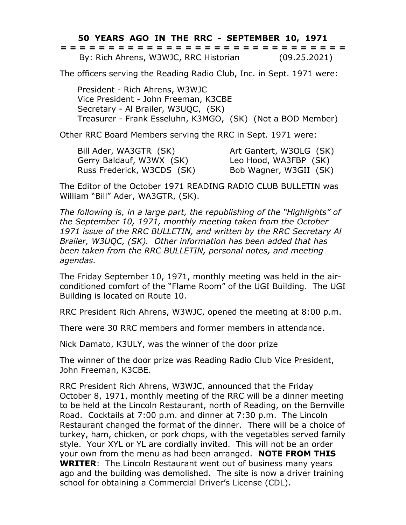## **50 YEARS AGO IN THE RRC - SEPTEMBER 10, 1971**

|  | ------------------------------<br>------------------------------ |  |  |  |  |  |  |  |  |  |  |  |  |              |  |
|--|------------------------------------------------------------------|--|--|--|--|--|--|--|--|--|--|--|--|--------------|--|
|  | By: Rich Ahrens, W3WJC, RRC Historian                            |  |  |  |  |  |  |  |  |  |  |  |  | (09.25.2021) |  |

The officers serving the Reading Radio Club, Inc. in Sept. 1971 were:

President - Rich Ahrens, W3WJC Vice President - John Freeman, K3CBE Secretary - Al Brailer, W3UQC, (SK) Treasurer - Frank Esseluhn, K3MGO, (SK) (Not a BOD Member)

Other RRC Board Members serving the RRC in Sept. 1971 were:

Bill Ader, WA3GTR (SK) Art Gantert, W3OLG (SK) Gerry Baldauf, W3WX (SK) Leo Hood, WA3FBP (SK) Russ Frederick, W3CDS (SK) Bob Wagner, W3GII (SK)

The Editor of the October 1971 READING RADIO CLUB BULLETIN was William "Bill" Ader, WA3GTR, (SK).

*The following is, in a large part, the republishing of the "Highlights" of the September 10, 1971, monthly meeting taken from the October 1971 issue of the RRC BULLETIN, and written by the RRC Secretary Al Brailer, W3UQC, (SK). Other information has been added that has been taken from the RRC BULLETIN, personal notes, and meeting agendas.*

The Friday September 10, 1971, monthly meeting was held in the airconditioned comfort of the "Flame Room" of the UGI Building. The UGI Building is located on Route 10.

RRC President Rich Ahrens, W3WJC, opened the meeting at 8:00 p.m.

There were 30 RRC members and former members in attendance.

Nick Damato, K3ULY, was the winner of the door prize

The winner of the door prize was Reading Radio Club Vice President, John Freeman, K3CBE.

RRC President Rich Ahrens, W3WJC, announced that the Friday October 8, 1971, monthly meeting of the RRC will be a dinner meeting to be held at the Lincoln Restaurant, north of Reading, on the Bernville Road. Cocktails at 7:00 p.m. and dinner at 7:30 p.m. The Lincoln Restaurant changed the format of the dinner. There will be a choice of turkey, ham, chicken, or pork chops, with the vegetables served family style. Your XYL or YL are cordially invited. This will not be an order your own from the menu as had been arranged. **NOTE FROM THIS WRITER**: The Lincoln Restaurant went out of business many years ago and the building was demolished. The site is now a driver training school for obtaining a Commercial Driver's License (CDL).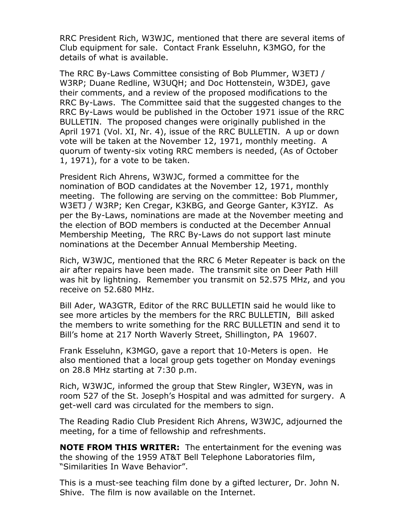RRC President Rich, W3WJC, mentioned that there are several items of Club equipment for sale. Contact Frank Esseluhn, K3MGO, for the details of what is available.

The RRC By-Laws Committee consisting of Bob Plummer, W3ETJ / W3RP; Duane Redline, W3UQH; and Doc Hottenstein, W3DEJ, gave their comments, and a review of the proposed modifications to the RRC By-Laws. The Committee said that the suggested changes to the RRC By-Laws would be published in the October 1971 issue of the RRC BULLETIN. The proposed changes were originally published in the April 1971 (Vol. XI, Nr. 4), issue of the RRC BULLETIN. A up or down vote will be taken at the November 12, 1971, monthly meeting. A quorum of twenty-six voting RRC members is needed, (As of October 1, 1971), for a vote to be taken.

President Rich Ahrens, W3WJC, formed a committee for the nomination of BOD candidates at the November 12, 1971, monthly meeting. The following are serving on the committee: Bob Plummer, W3ETJ / W3RP; Ken Cregar, K3KBG, and George Ganter, K3YIZ. As per the By-Laws, nominations are made at the November meeting and the election of BOD members is conducted at the December Annual Membership Meeting, The RRC By-Laws do not support last minute nominations at the December Annual Membership Meeting.

Rich, W3WJC, mentioned that the RRC 6 Meter Repeater is back on the air after repairs have been made. The transmit site on Deer Path Hill was hit by lightning. Remember you transmit on 52.575 MHz, and you receive on 52.680 MHz.

Bill Ader, WA3GTR, Editor of the RRC BULLETIN said he would like to see more articles by the members for the RRC BULLETIN, Bill asked the members to write something for the RRC BULLETIN and send it to Bill's home at 217 North Waverly Street, Shillington, PA 19607.

Frank Esseluhn, K3MGO, gave a report that 10-Meters is open. He also mentioned that a local group gets together on Monday evenings on 28.8 MHz starting at 7:30 p.m.

Rich, W3WJC, informed the group that Stew Ringler, W3EYN, was in room 527 of the St. Joseph's Hospital and was admitted for surgery. A get-well card was circulated for the members to sign.

The Reading Radio Club President Rich Ahrens, W3WJC, adjourned the meeting, for a time of fellowship and refreshments.

**NOTE FROM THIS WRITER:** The entertainment for the evening was the showing of the 1959 AT&T Bell Telephone Laboratories film, "Similarities In Wave Behavior".

This is a must-see teaching film done by a gifted lecturer, Dr. John N. Shive. The film is now available on the Internet.